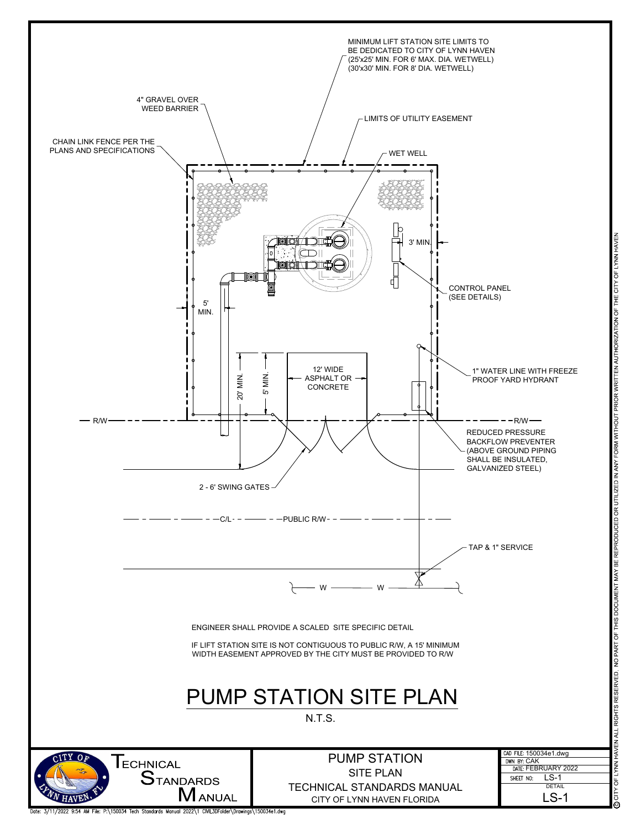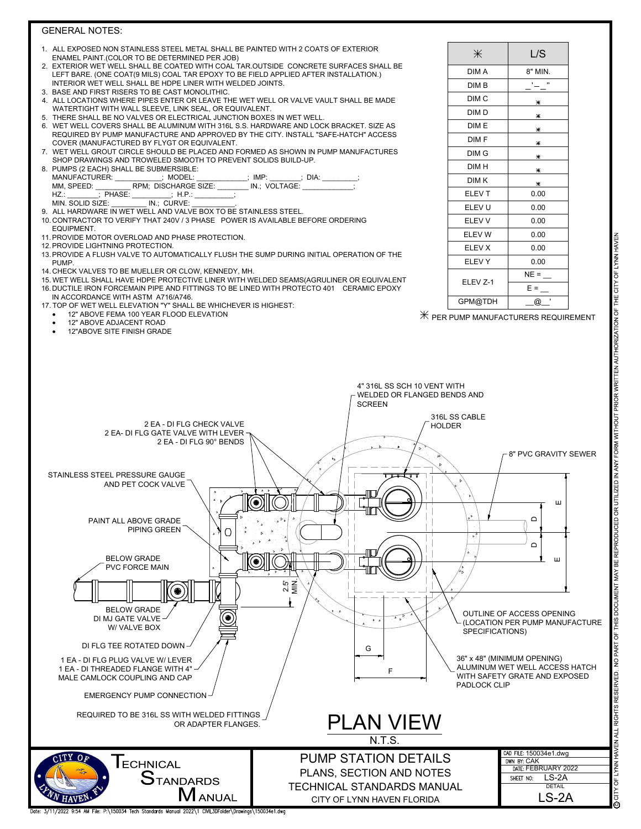## GENERAL NOTES:

- ALL EXPOSED NON STAINLESS STEEL METAL SHALL BE PAINTED WITH 2 COATS OF EXTERIOR ENAMEL PAINT.(COLOR TO BE DETERMINED PER JOB)
- 2. EXTERIOR WET WELL SHALL BE COATED WITH COAL TAR.OUTSIDE CONCRETE SURFACES SHALL BE LEFT BARE. (ONE COAT(9 MILS) COAL TAR EPOXY TO BE FIELD APPLIED AFTER INSTALLATION.) INTERIOR WET WELL SHALL BE HDPE LINER WITH WELDED JOINTS.
- 3. BASE AND FIRST RISERS TO BE CAST MONOLITHIC.
- 4. ALL LOCATIONS WHERE PIPES ENTER OR LEAVE THE WET WELL OR VALVE VAULT SHALL BE MADE WATERTIGHT WITH WALL SLEEVE, LINK SEAL, OR EQUIVALENT.
- 5. THERE SHALL BE NO VALVES OR ELECTRICAL JUNCTION BOXES IN WET WELL.
- 6. WET WELL COVERS SHALL BE ALUMINUM WITH 316L S.S. HARDWARE AND LOCK BRACKET. SIZE AS REQUIRED BY PUMP MANUFACTURE AND APPROVED BY THE CITY. INSTALL "SAFE-HATCH" ACCESS COVER (MANUFACTURED BY FLYGT OR EQUIVALENT.
- 7. WET WELL GROUT CIRCLE SHOULD BE PLACED AND FORMED AS SHOWN IN PUMP MANUFACTURES SHOP DRAWINGS AND TROWELED SMOOTH TO PREVENT SOLIDS BUILD-UP.
- 8. PUMPS (2 EACH) SHALL BE SUBMERSIBLE:<br>MANUFACTURER: : MODEL: MANUFACTURER: \_\_\_\_\_\_\_\_\_; MODEL: \_\_\_\_\_\_\_; IMP: \_\_\_\_\_; DIA:<br>MM, SPEED: \_\_\_\_\_\_\_\_\_\_RPM; DISCHARGE SIZE: \_\_\_\_\_\_\_\_ IN.; VOLTAGE: \_\_\_\_\_\_ MM, SPEED:  $\frac{\overline{PRM}}{\overline{PRM}}$ ; DISCHARGE SIZE:<br>HZ:  $\overline{HPM}$ ; PHASE:  $\overline{HPM}$ ; HP. ; PHASE: \_\_\_\_\_\_\_\_\_; H.P.<br>ZE: \_\_\_\_\_\_\_\_\_\_\_\_\_\_\_\_\_; H.P. MIN. SOLID SIZE:
- ALL HARDWARE IN WET WELL AND VALVE BOX TO BE STAINLESS STEEL.
- 10. CONTRACTOR TO VERIFY THAT 240V / 3 PHASE POWER IS AVAILABLE BEFORE ORDERING EQUIPMENT.
- 11.PROVIDE MOTOR OVERLOAD AND PHASE PROTECTION.
- 12.PROVIDE LIGHTNING PROTECTION.
- 13.PROVIDE A FLUSH VALVE TO AUTOMATICALLY FLUSH THE SUMP DURING INITIAL OPERATION OF THE **PUMP**
- 14. CHECK VALVES TO BE MUELLER OR CLOW, KENNEDY, MH.
- 15. WET WELL SHALL HAVE HDPE PROTECTIVE LINER WITH WELDED SEAMS(AGRULINER OR EQUIVALENT 16.DUCTILE IRON FORCEMAIN PIPE AND FITTINGS TO BE LINED WITH PROTECTO 401 CERAMIC EPOXY IN ACCORDANCE WITH ASTM A716/A746.
- 17. TOP OF WET WELL ELEVATION "Y" SHALL BE WHICHEVER IS HIGHEST:
	- 12" ABOVE FEMA 100 YEAR FLOOD ELEVATION
	- 12" ABOVE ADJACENT ROAD
	- 12"ABOVE SITE FINISH GRADE

| $*$              | L/S     |
|------------------|---------|
| DIM A            | 8" MIN. |
| DIM B            | ,,      |
| DIM <sub>C</sub> | Ж       |
| DIM D            | Ж       |
| DIM E            | Ж       |
| DIM F            | Ж       |
| DIM G            | Ж       |
| DIM H            | Ж       |
| DIM K            | Ж       |
| ELEV T           | 0.00    |
| ELEV U           | 0.00    |
| ELEV V           | 0.00    |
| ELEV W           | 0.00    |
| <b>ELEV X</b>    | 0.00    |
| <b>ELEVY</b>     | 0.00    |
| ELEV Z-1         | $NE =$  |
|                  | $E =$   |
| GPM@TDH          | ı<br>@  |

 $\mathbb H$  PER PUMP MANUFACTURERS REQUIREMENT

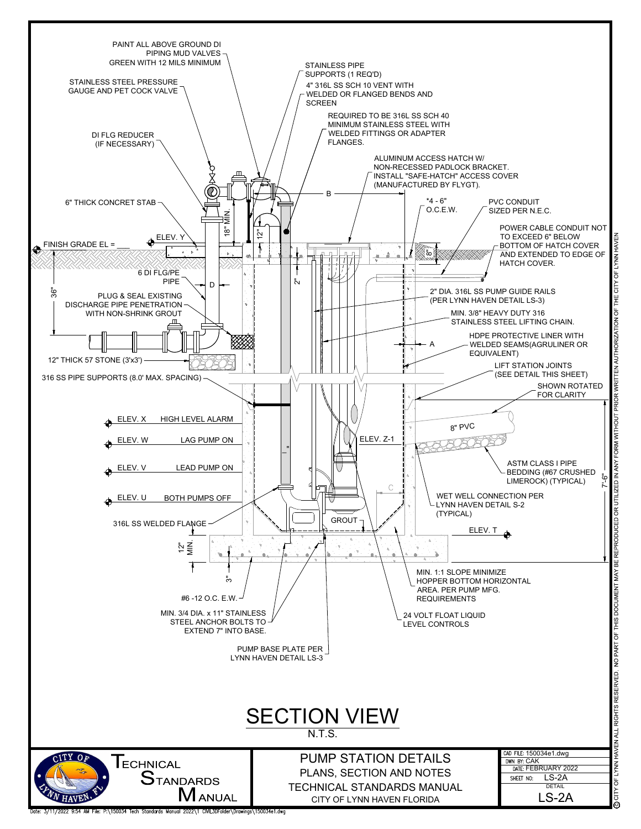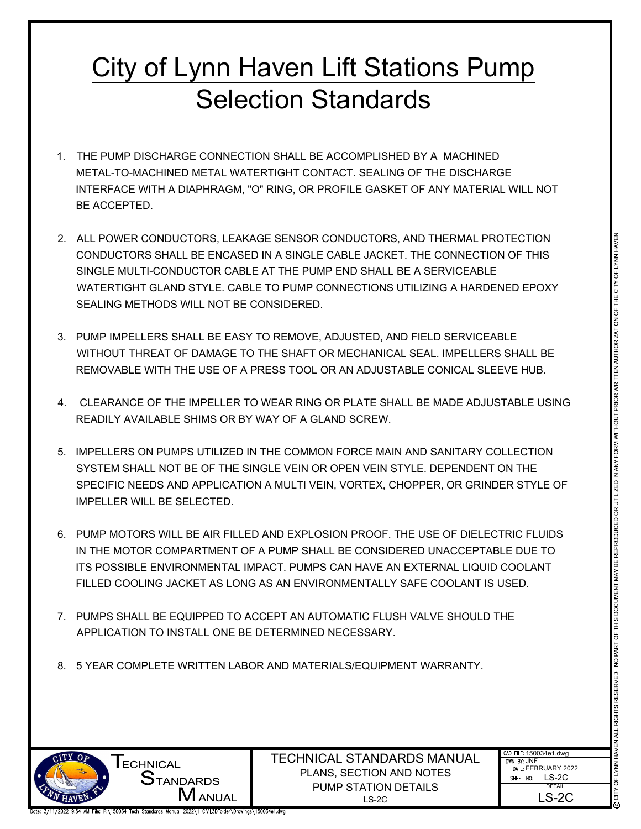## City of Lynn Haven Lift Stations Pump Selection Standards

- 1. THE PUMP DISCHARGE CONNECTION SHALL BE ACCOMPLISHED BY A MACHINED METAL-TO-MACHINED METAL WATERTIGHT CONTACT. SEALING OF THE DISCHARGE INTERFACE WITH A DIAPHRAGM, "O" RING, OR PROFILE GASKET OF ANY MATERIAL WILL NOT BE ACCEPTED.
- ED METAL WATERTIGHT CONTACT. SEALING OF THE DISTORANCE<br>
LEWIS CONDENSATION OF PROFILE GASKET OF ANY MATERIAL WILL NOT<br>
UNLE ENCASED IN A BINGLE CABLE ARCKET. THE CONNECTION STATE CONDENSATION<br>
DUCTOR CABLE TO THE PUMP END 2. ALL POWER CONDUCTORS, LEAKAGE SENSOR CONDUCTORS, AND THERMAL PROTECTION<br>
SINGLE MULTI-CONDUCTOR CABLE AT THE PUMP END SHALL BE A SERVICEABLE<br>
WATERTIGHT GLAND STYLE. CABLE TO PUMP CONNECTIONS UTILIZING A HARDENED EPOXY<br> CONDUCTORS SHALL BE ENCASED IN A SINGLE CABLE JACKET. THE CONNECTION OF THIS SINGLE MULTI-CONDUCTOR CABLE AT THE PUMP END SHALL BE A SERVICEABLE WATERTIGHT GLAND STYLE. CABLE TO PUMP CONNECTIONS UTILIZING A HARDENED EPOXY SEALING METHODS WILL NOT BE CONSIDERED.
- 3. PUMP IMPELLERS SHALL BE EASY TO REMOVE, ADJUSTED, AND FIELD SERVICEABLE WITHOUT THREAT OF DAMAGE TO THE SHAFT OR MECHANICAL SEAL. IMPELLERS SHALL BE REMOVABLE WITH THE USE OF A PRESS TOOL OR AN ADJUSTABLE CONICAL SLEEVE HUB.
- 4. CLEARANCE OF THE IMPELLER TO WEAR RING OR PLATE SHALL BE MADE ADJUSTABLE USING READILY AVAILABLE SHIMS OR BY WAY OF A GLAND SCREW.
- 5. IMPELLERS ON PUMPS UTILIZED IN THE COMMON FORCE MAIN AND SANITARY COLLECTION SYSTEM SHALL NOT BE OF THE SINGLE VEIN OR OPEN VEIN STYLE. DEPENDENT ON THE SPECIFIC NEEDS AND APPLICATION A MULTI VEIN, VORTEX, CHOPPER, OR GRINDER STYLE OF IMPELLER WILL BE SELECTED.
- 6. PUMP MOTORS WILL BE AIR FILLED AND EXPLOSION PROOF. THE USE OF DIELECTRIC FLUIDS IN THE MOTOR COMPARTMENT OF A PUMP SHALL BE CONSIDERED UNACCEPTABLE DUE TO ITS POSSIBLE ENVIRONMENTAL IMPACT. PUMPS CAN HAVE AN EXTERNAL LIQUID COOLANT FILLED COOLING JACKET AS LONG AS AN ENVIRONMENTALLY SAFE COOLANT IS USED.
- 7. PUMPS SHALL BE EQUIPPED TO ACCEPT AN AUTOMATIC FLUSH VALVE SHOULD THE APPLICATION TO INSTALL ONE BE DETERMINED NECESSARY.
- 8. 5 YEAR COMPLETE WRITTEN LABOR AND MATERIALS/EQUIPMENT WARRANTY.



TECHNICAL STANDARDS MANUAL <sup>CAD FILE:</sup> 150034e1.dwg<br>
DIMESTANDARDS PLANS, SECTION AND NOTES<br>
PLIMP STATION DETAIL S PUMP STATION DETAILS PLANS, SECTION AND NOTES

| ANDARDS MANUAL | CAD FILE: 150034e1.dwg<br>DWN BY: JNF |  |
|----------------|---------------------------------------|--|
| TION AND NOTES | DATF: FEBRUARY 2022                   |  |
|                | LS-2C<br>SHEET NO:                    |  |
| ATION DETAILS. | <b>DETAIL</b>                         |  |
| LS-2C          | LS-2C                                 |  |

**I** ECHNICAL<br>STANDARDS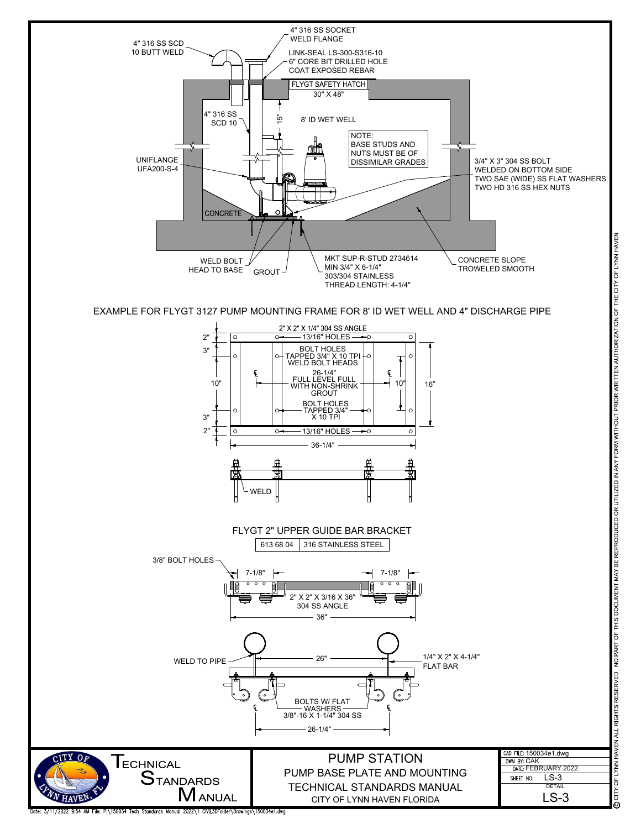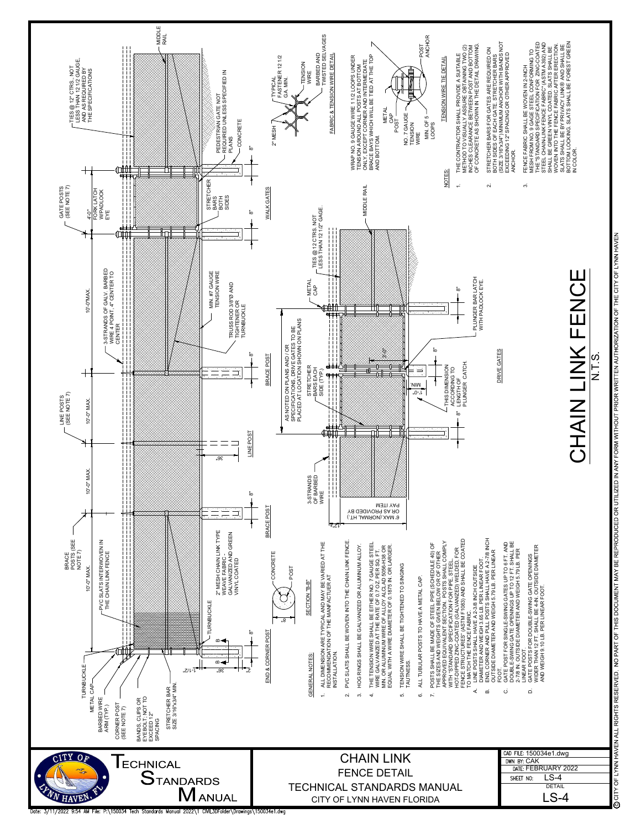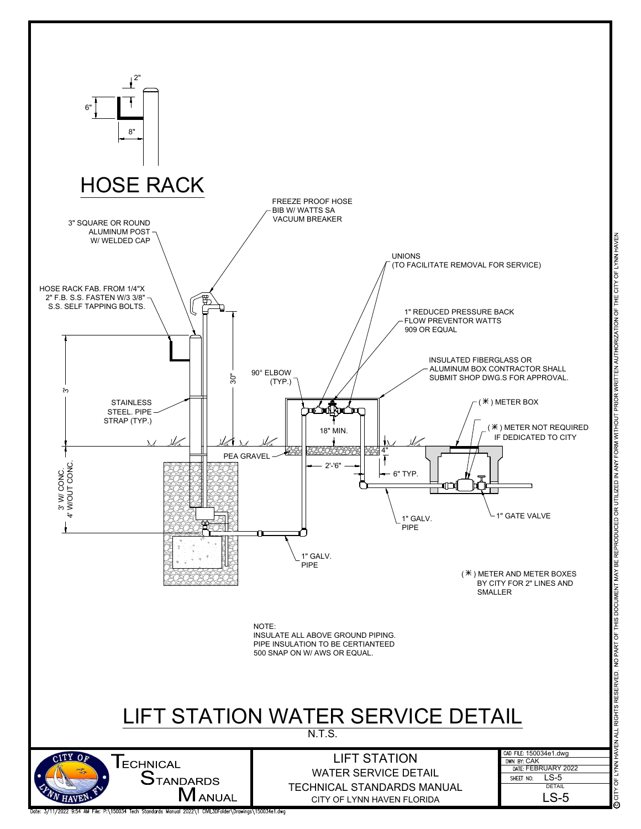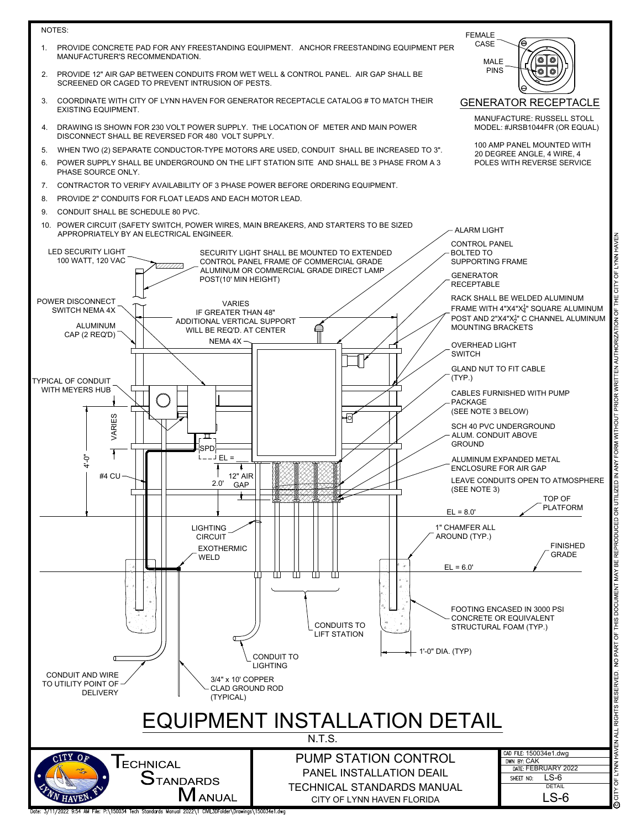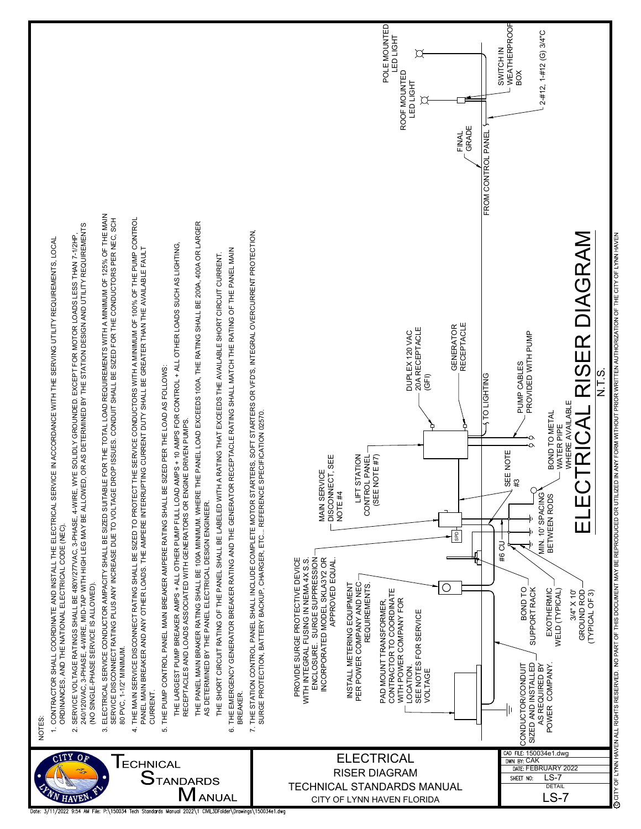![](_page_8_Figure_0.jpeg)

P.\150034 Tech Standards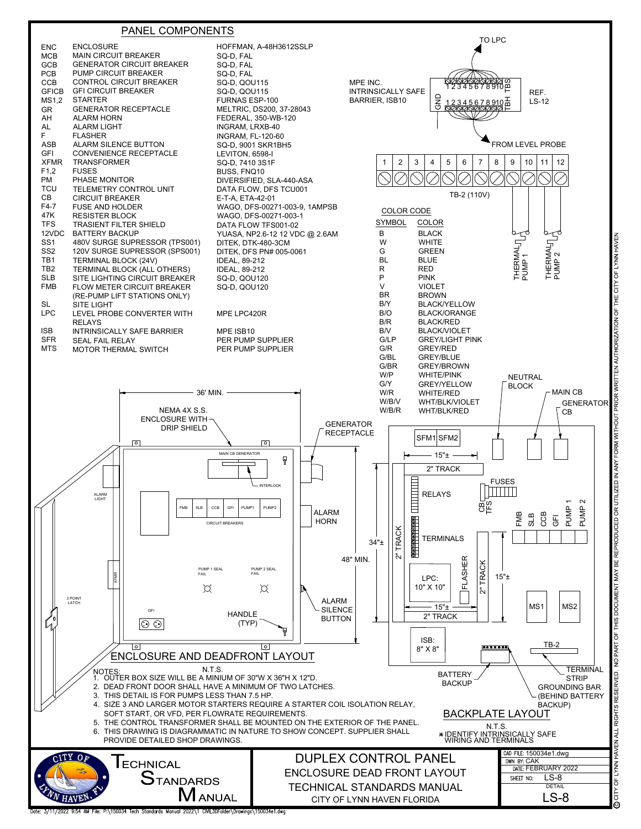![](_page_9_Figure_0.jpeg)